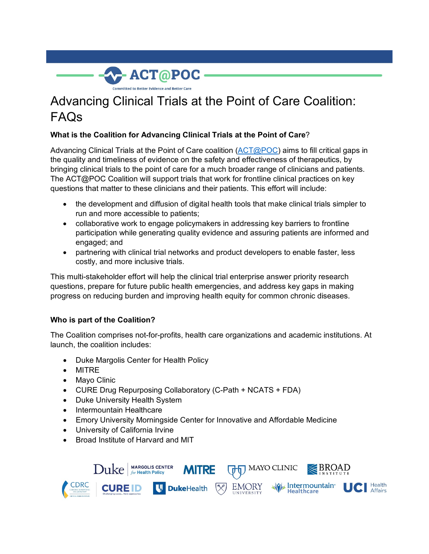

# Advancing Clinical Trials at the Point of Care Coalition: FAQs

# **What is the Coalition for Advancing Clinical Trials at the Point of Care**?

Advancing Clinical Trials at the Point of Care coalition ( $\overline{ACT@POC}$ ) aims to fill critical gaps in the quality and timeliness of evidence on the safety and effectiveness of therapeutics, by bringing clinical trials to the point of care for a much broader range of clinicians and patients. The ACT@POC Coalition will support trials that work for frontline clinical practices on key questions that matter to these clinicians and their patients. This effort will include:

- the development and diffusion of digital health tools that make clinical trials simpler to run and more accessible to patients;
- collaborative work to engage policymakers in addressing key barriers to frontline participation while generating quality evidence and assuring patients are informed and engaged; and
- partnering with clinical trial networks and product developers to enable faster, less costly, and more inclusive trials.

This multi-stakeholder effort will help the clinical trial enterprise answer priority research questions, prepare for future public health emergencies, and address key gaps in making progress on reducing burden and improving health equity for common chronic diseases.

## **Who is part of the Coalition?**

The Coalition comprises not-for-profits, health care organizations and academic institutions. At launch, the coalition includes:

- Duke Margolis Center for Health Policy
- MITRE
- Mayo Clinic
- CURE Drug Repurposing Collaboratory (C-Path + NCATS + FDA)
- Duke University Health System
- Intermountain Healthcare
- Emory University Morningside Center for Innovative and Affordable Medicine
- University of California Irvine
- Broad Institute of Harvard and MIT

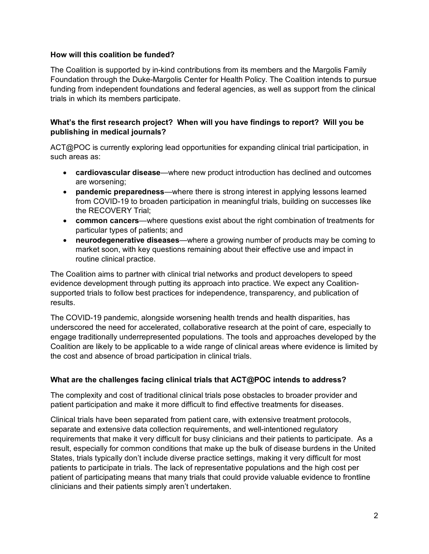#### **How will this coalition be funded?**

The Coalition is supported by in-kind contributions from its members and the Margolis Family Foundation through the Duke-Margolis Center for Health Policy. The Coalition intends to pursue funding from independent foundations and federal agencies, as well as support from the clinical trials in which its members participate.

## **What's the first research project? When will you have findings to report? Will you be publishing in medical journals?**

ACT@POC is currently exploring lead opportunities for expanding clinical trial participation, in such areas as:

- **cardiovascular disease**—where new product introduction has declined and outcomes are worsening;
- **pandemic preparedness**—where there is strong interest in applying lessons learned from COVID-19 to broaden participation in meaningful trials, building on successes like the RECOVERY Trial;
- **common cancers**—where questions exist about the right combination of treatments for particular types of patients; and
- **neurodegenerative diseases**—where a growing number of products may be coming to market soon, with key questions remaining about their effective use and impact in routine clinical practice.

The Coalition aims to partner with clinical trial networks and product developers to speed evidence development through putting its approach into practice. We expect any Coalitionsupported trials to follow best practices for independence, transparency, and publication of results.

The COVID-19 pandemic, alongside worsening health trends and health disparities, has underscored the need for accelerated, collaborative research at the point of care, especially to engage traditionally underrepresented populations. The tools and approaches developed by the Coalition are likely to be applicable to a wide range of clinical areas where evidence is limited by the cost and absence of broad participation in clinical trials.

## **What are the challenges facing clinical trials that ACT@POC intends to address?**

The complexity and cost of traditional clinical trials pose obstacles to broader provider and patient participation and make it more difficult to find effective treatments for diseases.

Clinical trials have been separated from patient care, with extensive treatment protocols, separate and extensive data collection requirements, and well-intentioned regulatory requirements that make it very difficult for busy clinicians and their patients to participate. As a result, especially for common conditions that make up the bulk of disease burdens in the United States, trials typically don't include diverse practice settings, making it very difficult for most patients to participate in trials. The lack of representative populations and the high cost per patient of participating means that many trials that could provide valuable evidence to frontline clinicians and their patients simply aren't undertaken.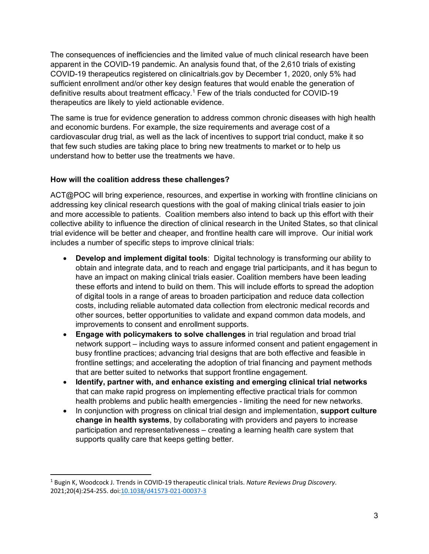The consequences of inefficiencies and the limited value of much clinical research have been apparent in the COVID-19 pandemic. An analysis found that, of the 2,610 trials of existing COVID-19 therapeutics registered on clinicaltrials.gov by December 1, 2020, only 5% had sufficient enrollment and/or other key design features that would enable the generation of definitive results about treatment efficacy.<sup>[1](#page-2-0)</sup> Few of the trials conducted for COVID-19 therapeutics are likely to yield actionable evidence.

The same is true for evidence generation to address common chronic diseases with high health and economic burdens. For example, the size requirements and average cost of a cardiovascular drug trial, as well as the lack of incentives to support trial conduct, make it so that few such studies are taking place to bring new treatments to market or to help us understand how to better use the treatments we have.

#### **How will the coalition address these challenges?**

ACT@POC will bring experience, resources, and expertise in working with frontline clinicians on addressing key clinical research questions with the goal of making clinical trials easier to join and more accessible to patients. Coalition members also intend to back up this effort with their collective ability to influence the direction of clinical research in the United States, so that clinical trial evidence will be better and cheaper, and frontline health care will improve. Our initial work includes a number of specific steps to improve clinical trials:

- **Develop and implement digital tools**: Digital technology is transforming our ability to obtain and integrate data, and to reach and engage trial participants, and it has begun to have an impact on making clinical trials easier. Coalition members have been leading these efforts and intend to build on them. This will include efforts to spread the adoption of digital tools in a range of areas to broaden participation and reduce data collection costs, including reliable automated data collection from electronic medical records and other sources, better opportunities to validate and expand common data models, and improvements to consent and enrollment supports.
- **Engage with policymakers to solve challenges** in trial regulation and broad trial network support – including ways to assure informed consent and patient engagement in busy frontline practices; advancing trial designs that are both effective and feasible in frontline settings; and accelerating the adoption of trial financing and payment methods that are better suited to networks that support frontline engagement.
- **Identify, partner with, and enhance existing and emerging clinical trial networks** that can make rapid progress on implementing effective practical trials for common health problems and public health emergencies - limiting the need for new networks.
- In conjunction with progress on clinical trial design and implementation, **support culture change in health systems**, by collaborating with providers and payers to increase participation and representativeness – creating a learning health care system that supports quality care that keeps getting better.

 $\overline{a}$ 

<span id="page-2-0"></span><sup>1</sup> Bugin K, Woodcock J. Trends in COVID-19 therapeutic clinical trials. *Nature Reviews Drug Discovery*. 2021;20(4):254-255. doi[:10.1038/d41573-021-00037-3](https://doi.org/10.1038/d41573-021-00037-3)